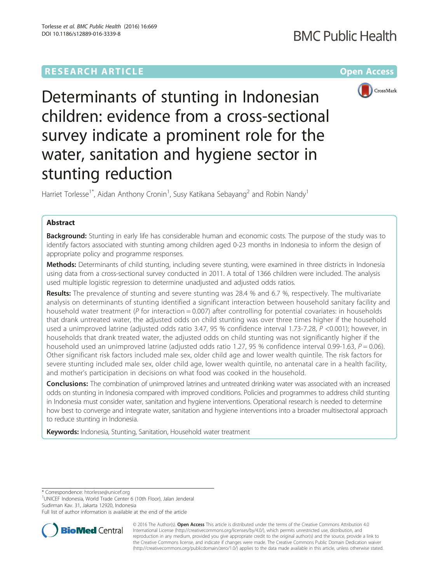# **RESEARCH ARTICLE Example 2014 12:30 The Community Community Community Community Community Community Community**



Determinants of stunting in Indonesian children: evidence from a cross-sectional survey indicate a prominent role for the water, sanitation and hygiene sector in stunting reduction

Harriet Torlesse<sup>1\*</sup>, Aidan Anthony Cronin<sup>1</sup>, Susy Katikana Sebayang<sup>2</sup> and Robin Nandy<sup>1</sup>

# Abstract

**Background:** Stunting in early life has considerable human and economic costs. The purpose of the study was to identify factors associated with stunting among children aged 0-23 months in Indonesia to inform the design of appropriate policy and programme responses.

Methods: Determinants of child stunting, including severe stunting, were examined in three districts in Indonesia using data from a cross-sectional survey conducted in 2011. A total of 1366 children were included. The analysis used multiple logistic regression to determine unadjusted and adjusted odds ratios.

Results: The prevalence of stunting and severe stunting was 28.4 % and 6.7 %, respectively. The multivariate analysis on determinants of stunting identified a significant interaction between household sanitary facility and household water treatment ( $P$  for interaction = 0.007) after controlling for potential covariates: in households that drank untreated water, the adjusted odds on child stunting was over three times higher if the household used a unimproved latrine (adjusted odds ratio 3.47, 95 % confidence interval 1.73-7.28, P <0.001); however, in households that drank treated water, the adjusted odds on child stunting was not significantly higher if the household used an unimproved latrine (adjusted odds ratio 1.27, 95 % confidence interval 0.99-1.63,  $P = 0.06$ ). Other significant risk factors included male sex, older child age and lower wealth quintile. The risk factors for severe stunting included male sex, older child age, lower wealth quintile, no antenatal care in a health facility, and mother's participation in decisions on what food was cooked in the household.

**Conclusions:** The combination of unimproved latrines and untreated drinking water was associated with an increased odds on stunting in Indonesia compared with improved conditions. Policies and programmes to address child stunting in Indonesia must consider water, sanitation and hygiene interventions. Operational research is needed to determine how best to converge and integrate water, sanitation and hygiene interventions into a broader multisectoral approach to reduce stunting in Indonesia.

Keywords: Indonesia, Stunting, Sanitation, Household water treatment

\* Correspondence: [htorlesse@unicef.org](mailto:htorlesse@unicef.org) <sup>1</sup>

UNICEF Indonesia, World Trade Center 6 (10th Floor), Jalan Jenderal Sudirman Kav. 31, Jakarta 12920, Indonesia

Full list of author information is available at the end of the article



© 2016 The Author(s). Open Access This article is distributed under the terms of the Creative Commons Attribution 4.0 International License [\(http://creativecommons.org/licenses/by/4.0/](http://creativecommons.org/licenses/by/4.0/)), which permits unrestricted use, distribution, and reproduction in any medium, provided you give appropriate credit to the original author(s) and the source, provide a link to the Creative Commons license, and indicate if changes were made. The Creative Commons Public Domain Dedication waiver [\(http://creativecommons.org/publicdomain/zero/1.0/](http://creativecommons.org/publicdomain/zero/1.0/)) applies to the data made available in this article, unless otherwise stated.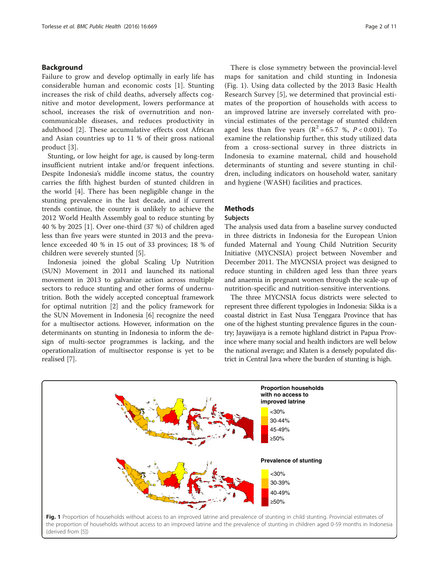### <span id="page-1-0"></span>Background

Failure to grow and develop optimally in early life has considerable human and economic costs [\[1](#page-10-0)]. Stunting increases the risk of child deaths, adversely affects cognitive and motor development, lowers performance at school, increases the risk of overnutrition and noncommunicable diseases, and reduces productivity in adulthood [\[2](#page-10-0)]. These accumulative effects cost African and Asian countries up to 11 % of their gross national product [[3\]](#page-10-0).

Stunting, or low height for age, is caused by long-term insufficient nutrient intake and/or frequent infections. Despite Indonesia's middle income status, the country carries the fifth highest burden of stunted children in the world [[4\]](#page-10-0). There has been negligible change in the stunting prevalence in the last decade, and if current trends continue, the country is unlikely to achieve the 2012 World Health Assembly goal to reduce stunting by 40 % by 2025 [[1](#page-10-0)]. Over one-third (37 %) of children aged less than five years were stunted in 2013 and the prevalence exceeded 40 % in 15 out of 33 provinces; 18 % of children were severely stunted [\[5](#page-10-0)].

Indonesia joined the global Scaling Up Nutrition (SUN) Movement in 2011 and launched its national movement in 2013 to galvanize action across multiple sectors to reduce stunting and other forms of undernutrition. Both the widely accepted conceptual framework for optimal nutrition [\[2](#page-10-0)] and the policy framework for the SUN Movement in Indonesia [\[6\]](#page-10-0) recognize the need for a multisector actions. However, information on the determinants on stunting in Indonesia to inform the design of multi-sector programmes is lacking, and the operationalization of multisector response is yet to be realised [[7\]](#page-10-0).

There is close symmetry between the provincial-level maps for sanitation and child stunting in Indonesia (Fig. 1). Using data collected by the 2013 Basic Health Research Survey [\[5](#page-10-0)], we determined that provincial estimates of the proportion of households with access to an improved latrine are inversely correlated with provincial estimates of the percentage of stunted children aged less than five years ( $R^2 = 65.7$  %,  $P < 0.001$ ). To examine the relationship further, this study utilized data from a cross-sectional survey in three districts in Indonesia to examine maternal, child and household determinants of stunting and severe stunting in children, including indicators on household water, sanitary and hygiene (WASH) facilities and practices.

## **Methods**

### Subjects

The analysis used data from a baseline survey conducted in three districts in Indonesia for the European Union funded Maternal and Young Child Nutrition Security Initiative (MYCNSIA) project between November and December 2011. The MYCNSIA project was designed to reduce stunting in children aged less than three years and anaemia in pregnant women through the scale-up of nutrition-specific and nutrition-sensitive interventions.

The three MYCNSIA focus districts were selected to represent three different typologies in Indonesia: Sikka is a coastal district in East Nusa Tenggara Province that has one of the highest stunting prevalence figures in the country; Jayawijaya is a remote highland district in Papua Province where many social and health indictors are well below the national average; and Klaten is a densely populated district in Central Java where the burden of stunting is high.



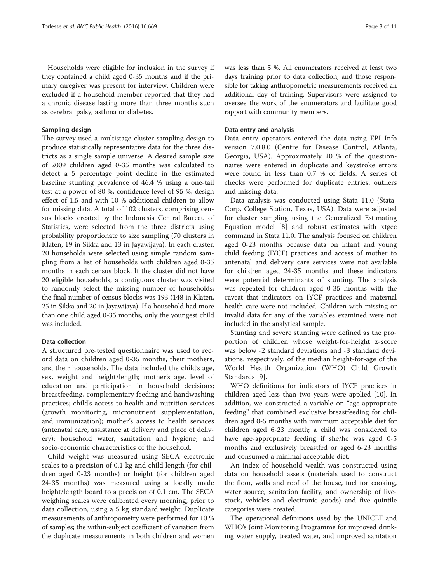Households were eligible for inclusion in the survey if they contained a child aged 0-35 months and if the primary caregiver was present for interview. Children were excluded if a household member reported that they had a chronic disease lasting more than three months such as cerebral palsy, asthma or diabetes.

#### Sampling design

The survey used a multistage cluster sampling design to produce statistically representative data for the three districts as a single sample universe. A desired sample size of 2009 children aged 0-35 months was calculated to detect a 5 percentage point decline in the estimated baseline stunting prevalence of 46.4 % using a one-tail test at a power of 80 %, confidence level of 95 %, design effect of 1.5 and with 10 % additional children to allow for missing data. A total of 102 clusters, comprising census blocks created by the Indonesia Central Bureau of Statistics, were selected from the three districts using probability proportionate to size sampling (70 clusters in Klaten, 19 in Sikka and 13 in Jayawijaya). In each cluster, 20 households were selected using simple random sampling from a list of households with children aged 0-35 months in each census block. If the cluster did not have 20 eligible households, a contiguous cluster was visited to randomly select the missing number of households; the final number of census blocks was 193 (148 in Klaten, 25 in Sikka and 20 in Jayawijaya). If a household had more than one child aged 0-35 months, only the youngest child was included.

### Data collection

A structured pre-tested questionnaire was used to record data on children aged 0-35 months, their mothers, and their households. The data included the child's age, sex, weight and height/length; mother's age, level of education and participation in household decisions; breastfeeding, complementary feeding and handwashing practices; child's access to health and nutrition services (growth monitoring, micronutrient supplementation, and immunization); mother's access to health services (antenatal care, assistance at delivery and place of delivery); household water, sanitation and hygiene; and socio-economic characteristics of the household.

Child weight was measured using SECA electronic scales to a precision of 0.1 kg and child length (for children aged 0-23 months) or height (for children aged 24-35 months) was measured using a locally made height/length board to a precision of 0.1 cm. The SECA weighing scales were calibrated every morning, prior to data collection, using a 5 kg standard weight. Duplicate measurements of anthropometry were performed for 10 % of samples; the within-subject coefficient of variation from the duplicate measurements in both children and women was less than 5 %. All enumerators received at least two days training prior to data collection, and those responsible for taking anthropometric measurements received an additional day of training. Supervisors were assigned to oversee the work of the enumerators and facilitate good rapport with community members.

### Data entry and analysis

Data entry operators entered the data using EPI Info version 7.0.8.0 (Centre for Disease Control, Atlanta, Georgia, USA). Approximately 10 % of the questionnaires were entered in duplicate and keystroke errors were found in less than 0.7 % of fields. A series of checks were performed for duplicate entries, outliers and missing data.

Data analysis was conducted using Stata 11.0 (Stata-Corp, College Station, Texas, USA). Data were adjusted for cluster sampling using the Generalized Estimating Equation model [\[8\]](#page-10-0) and robust estimates with xtgee command in Stata 11.0. The analysis focused on children aged 0-23 months because data on infant and young child feeding (IYCF) practices and access of mother to antenatal and delivery care services were not available for children aged 24-35 months and these indicators were potential determinants of stunting. The analysis was repeated for children aged 0-35 months with the caveat that indicators on IYCF practices and maternal health care were not included. Children with missing or invalid data for any of the variables examined were not included in the analytical sample.

Stunting and severe stunting were defined as the proportion of children whose weight-for-height z-score was below -2 standard deviations and -3 standard deviations, respectively, of the median height-for-age of the World Health Organization (WHO) Child Growth Standards [[9](#page-10-0)].

WHO definitions for indicators of IYCF practices in children aged less than two years were applied [[10](#page-10-0)]. In addition, we constructed a variable on "age-appropriate feeding" that combined exclusive breastfeeding for children aged 0-5 months with minimum acceptable diet for children aged 6-23 month; a child was considered to have age-appropriate feeding if she/he was aged 0-5 months and exclusively breastfed or aged 6-23 months and consumed a minimal acceptable diet.

An index of household wealth was constructed using data on household assets (materials used to construct the floor, walls and roof of the house, fuel for cooking, water source, sanitation facility, and ownership of livestock, vehicles and electronic goods) and five quintile categories were created.

The operational definitions used by the UNICEF and WHO's Joint Monitoring Programme for improved drinking water supply, treated water, and improved sanitation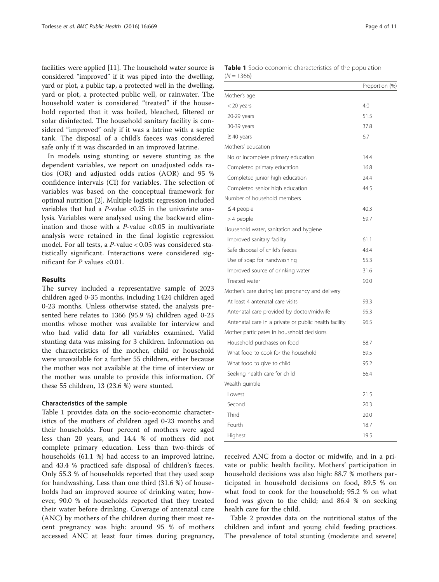facilities were applied [\[11\]](#page-10-0). The household water source is considered "improved" if it was piped into the dwelling, yard or plot, a public tap, a protected well in the dwelling, yard or plot, a protected public well, or rainwater. The household water is considered "treated" if the household reported that it was boiled, bleached, filtered or solar disinfected. The household sanitary facility is considered "improved" only if it was a latrine with a septic tank. The disposal of a child's faeces was considered safe only if it was discarded in an improved latrine.

In models using stunting or severe stunting as the dependent variables, we report on unadjusted odds ratios (OR) and adjusted odds ratios (AOR) and 95 % confidence intervals (CI) for variables. The selection of variables was based on the conceptual framework for optimal nutrition [[2\]](#page-10-0). Multiple logistic regression included variables that had a  $P$ -value <0.25 in the univariate analysis. Variables were analysed using the backward elimination and those with a  $P$ -value <0.05 in multivariate analysis were retained in the final logistic regression model. For all tests, a P-value < 0.05 was considered statistically significant. Interactions were considered significant for  $P$  values <0.01.

### Results

The survey included a representative sample of 2023 children aged 0-35 months, including 1424 children aged 0-23 months. Unless otherwise stated, the analysis presented here relates to 1366 (95.9 %) children aged 0-23 months whose mother was available for interview and who had valid data for all variables examined. Valid stunting data was missing for 3 children. Information on the characteristics of the mother, child or household were unavailable for a further 55 children, either because the mother was not available at the time of interview or the mother was unable to provide this information. Of these 55 children, 13 (23.6 %) were stunted.

#### Characteristics of the sample

Table 1 provides data on the socio-economic characteristics of the mothers of children aged 0-23 months and their households. Four percent of mothers were aged less than 20 years, and 14.4 % of mothers did not complete primary education. Less than two-thirds of households (61.1 %) had access to an improved latrine, and 43.4 % practiced safe disposal of children's faeces. Only 55.3 % of households reported that they used soap for handwashing. Less than one third (31.6 %) of households had an improved source of drinking water, however, 90.0 % of households reported that they treated their water before drinking. Coverage of antenatal care (ANC) by mothers of the children during their most recent pregnancy was high: around 95 % of mothers accessed ANC at least four times during pregnancy,

|              | Table 1 Socio-economic characteristics of the population |  |  |
|--------------|----------------------------------------------------------|--|--|
| $(N = 1366)$ |                                                          |  |  |

| . ,                                                   | Proportion (%) |
|-------------------------------------------------------|----------------|
| Mother's age                                          |                |
| $<$ 20 years                                          | 4.0            |
| 20-29 years                                           | 51.5           |
| 30-39 years                                           | 37.8           |
| $\geq$ 40 years                                       | 6.7            |
| Mothers' education                                    |                |
| No or incomplete primary education                    | 14.4           |
| Completed primary education                           | 16.8           |
| Completed junior high education                       | 24.4           |
| Completed senior high education                       | 44.5           |
| Number of household members                           |                |
| $\leq$ 4 people                                       | 40.3           |
| > 4 people                                            | 59.7           |
| Household water, sanitation and hygiene               |                |
| Improved sanitary facility                            | 61.1           |
| Safe disposal of child's faeces                       | 43.4           |
| Use of soap for handwashing                           | 55.3           |
| Improved source of drinking water                     | 31.6           |
| Treated water                                         | 90.0           |
| Mother's care during last pregnancy and delivery      |                |
| At least 4 antenatal care visits                      | 93.3           |
| Antenatal care provided by doctor/midwife             | 95.3           |
| Antenatal care in a private or public health facility | 96.5           |
| Mother participates in household decisions            |                |
| Household purchases on food                           | 88.7           |
| What food to cook for the household                   | 89.5           |
| What food to give to child                            | 95.2           |
| Seeking health care for child                         | 86.4           |
| Wealth quintile                                       |                |
| Lowest                                                | 21.5           |
| Second                                                | 20.3           |
| Third                                                 | 20.0           |
| Fourth                                                | 18.7           |
| Highest                                               | 19.5           |

received ANC from a doctor or midwife, and in a private or public health facility. Mothers' participation in household decisions was also high: 88.7 % mothers participated in household decisions on food, 89.5 % on what food to cook for the household; 95.2 % on what food was given to the child; and 86.4 % on seeking health care for the child.

Table [2](#page-4-0) provides data on the nutritional status of the children and infant and young child feeding practices. The prevalence of total stunting (moderate and severe)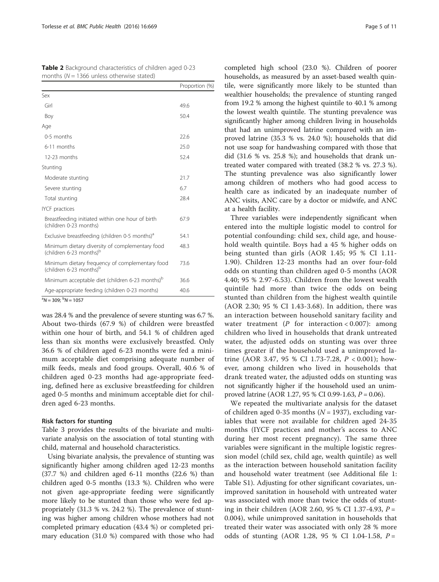<span id="page-4-0"></span>

| <b>Table 2</b> Background characteristics of children aged 0-23 |  |
|-----------------------------------------------------------------|--|
| months ( $N = 1366$ unless otherwise stated)                    |  |

 $(\% )$ 

| Proportion |
|------------|
|            |
| 49.6       |
| 50.4       |
|            |
| 22.6       |
| 25.0       |
| 52.4       |
|            |
| 21.7       |
| 6.7        |
| 28.4       |
|            |
| 67.9       |
| 54.1       |
| 48.3       |
| 73.6       |
| 36.6       |
| 40.6       |
|            |

 ${}^{\rm a}N$  = 309;  ${}^{\rm b}N$  = 1057

was 28.4 % and the prevalence of severe stunting was 6.7 %. About two-thirds (67.9 %) of children were breastfed within one hour of birth, and 54.1 % of children aged less than six months were exclusively breastfed. Only 36.6 % of children aged 6-23 months were fed a minimum acceptable diet comprising adequate number of milk feeds, meals and food groups. Overall, 40.6 % of children aged 0-23 months had age-appropriate feeding, defined here as exclusive breastfeeding for children aged 0-5 months and minimum acceptable diet for children aged 6-23 months.

### Risk factors for stunting

Table [3](#page-5-0) provides the results of the bivariate and multivariate analysis on the association of total stunting with child, maternal and household characteristics.

Using bivariate analysis, the prevalence of stunting was significantly higher among children aged 12-23 months (37.7 %) and children aged 6-11 months (22.6 %) than children aged 0-5 months (13.3 %). Children who were not given age-appropriate feeding were significantly more likely to be stunted than those who were fed appropriately (31.3 % vs. 24.2 %). The prevalence of stunting was higher among children whose mothers had not completed primary education (43.4 %) or completed primary education (31.0 %) compared with those who had completed high school (23.0 %). Children of poorer households, as measured by an asset-based wealth quintile, were significantly more likely to be stunted than wealthier households; the prevalence of stunting ranged from 19.2 % among the highest quintile to 40.1 % among the lowest wealth quintile. The stunting prevalence was significantly higher among children living in households that had an unimproved latrine compared with an improved latrine (35.3 % vs. 24.0 %); households that did not use soap for handwashing compared with those that did (31.6 % vs. 25.8 %); and households that drank untreated water compared with treated (38.2 % vs. 27.3 %). The stunting prevalence was also significantly lower among children of mothers who had good access to health care as indicated by an inadequate number of ANC visits, ANC care by a doctor or midwife, and ANC at a health facility.

Three variables were independently significant when entered into the multiple logistic model to control for potential confounding: child sex, child age, and household wealth quintile. Boys had a 45 % higher odds on being stunted than girls (AOR 1.45; 95 % CI 1.11- 1.90). Children 12-23 months had an over four-fold odds on stunting than children aged 0-5 months (AOR 4.40; 95 % 2.97-6.53). Children from the lowest wealth quintile had more than twice the odds on being stunted than children from the highest wealth quintile (AOR 2.30; 95 % CI 1.43-3.68). In addition, there was an interaction between household sanitary facility and water treatment (P for interaction  $< 0.007$ ): among children who lived in households that drank untreated water, the adjusted odds on stunting was over three times greater if the household used a unimproved latrine (AOR 3.47, 95 % CI 1.73-7.28, P < 0.001); however, among children who lived in households that drank treated water, the adjusted odds on stunting was not significantly higher if the household used an unimproved latrine (AOR 1.27, 95 % CI 0.99-1.63, P = 0.06).

We repeated the multivariate analysis for the dataset of children aged 0-35 months ( $N = 1937$ ), excluding variables that were not available for children aged 24-35 months (IYCF practices and mother's access to ANC during her most recent pregnancy). The same three variables were significant in the multiple logistic regression model (child sex, child age, wealth quintile) as well as the interaction between household sanitation facility and household water treatment (see Additional file [1](#page-9-0): Table S1). Adjusting for other significant covariates, unimproved sanitation in household with untreated water was associated with more than twice the odds of stunting in their children (AOR 2.60, 95 % CI 1.37-4.93,  $P =$ 0.004), while unimproved sanitation in households that treated their water was associated with only 28 % more odds of stunting (AOR 1.28, 95 % CI 1.04-1.58,  $P =$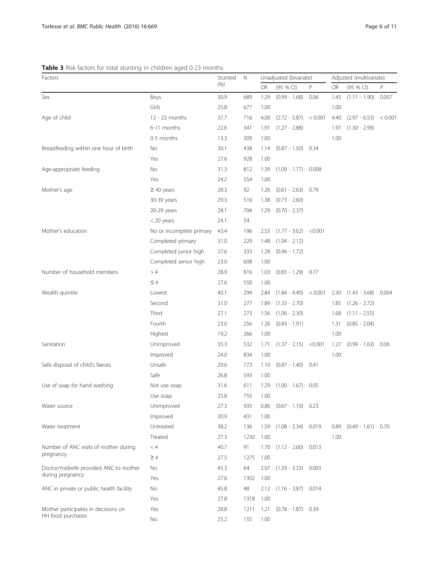<span id="page-5-0"></span>Table 3 Risk factors for total stunting in children aged 0-23 months

| Factors                                  |                          | Stunted | Ν    |                        | Unadjusted (bivariate)  |         | Adjusted (multivariate) |                      |         |
|------------------------------------------|--------------------------|---------|------|------------------------|-------------------------|---------|-------------------------|----------------------|---------|
|                                          |                          | $(\% )$ |      | <b>OR</b><br>(95 % CI) |                         | P       | OR<br>(95 % CI)         |                      | P       |
| Sex                                      | Boys                     | 30.9    | 689  | 1.29                   | $(0.99 - 1.68)$         | 0.06    | 1.45                    | $(1.11 - 1.90)$      | 0.007   |
|                                          | Girls                    | 25.8    | 677  | 1.00                   |                         |         | 1.00                    |                      |         |
| Age of child                             | 12 - 23 months           | 37.7    | 716  | 4.00                   | $(2.72 - 5.87) < 0.001$ |         | 4.40                    | $(2.97 - 6.53)$      | < 0.001 |
|                                          | 6-11 months              | 22.6    | 341  | 1.91                   | $(1.27 - 2.88)$         |         | 1.97                    | $(1.30 - 2.99)$      |         |
|                                          | 0-5 months               | 13.3    | 309  | 1.00                   |                         |         | 1.00                    |                      |         |
| Breastfeeding within one hour of birth   | No                       | 30.1    | 438  | 1.14                   | $(0.87 - 1.50)$ 0.34    |         |                         |                      |         |
|                                          | Yes                      | 27.6    | 928  | 1.00                   |                         |         |                         |                      |         |
| Age-appropriate feeding                  | No                       | 31.3    | 812  | 1.39                   | $(1.09 - 1.77)$ 0.008   |         |                         |                      |         |
|                                          | Yes                      | 24.2    | 554  | 1.00                   |                         |         |                         |                      |         |
| Mother's age                             | $\geq$ 40 years          | 28.3    | 92   | 1.26                   | $(0.61 - 2.63)$ 0.79    |         |                         |                      |         |
|                                          | 30-39 years              | 29.3    | 516  | 1.38                   | $(0.73 - 2.60)$         |         |                         |                      |         |
|                                          | 20-29 years              | 28.1    | 704  | 1.29                   | $(0.70 - 2.37)$         |         |                         |                      |         |
|                                          | $<$ 20 years             | 24.1    | 54   |                        |                         |         |                         |                      |         |
| Mother's education                       | No or incomplete primary | 43.4    | 196  | 2.53                   | $(1.77 - 3.62)$         | < 0.001 |                         |                      |         |
|                                          | Completed primary        | 31.0    | 229  | 1.48                   | $(1.04 - 2.12)$         |         |                         |                      |         |
|                                          | Completed junior high    | 27.6    | 333  | 1.28                   | $(0.96 - 1.72)$         |         |                         |                      |         |
|                                          | Completed senior high    | 23.0    | 608  | 1.00                   |                         |         |                         |                      |         |
| Number of household members              | >4                       | 28.9    | 816  | 1.03                   | $(0.83 - 1.29)$ 0.77    |         |                         |                      |         |
|                                          | $\leq 4$                 | 27.6    | 550  | 1.00                   |                         |         |                         |                      |         |
| Wealth quintile                          | Lowest                   | 40.1    | 294  | 2.84                   | $(1.84 - 4.40)$         | < 0.001 | 2.30                    | $(1.43 - 3.68)$      | 0.004   |
|                                          | Second                   | 31.0    | 277  | 1.89                   | $(1.33 - 2.70)$         |         | 1.85                    | $(1.26 - 2.72)$      |         |
|                                          | Third                    | 27.1    | 273  | 1.56                   | $(1.06 - 2.30)$         |         | 1.68                    | $(1.11 - 2.55)$      |         |
|                                          | Fourth                   | 23.0    | 256  | 1.26                   | $(0.83 - 1.91)$         |         | 1.31                    | $(0.85 - 2.04)$      |         |
|                                          | Highest                  | 19.2    | 266  | 1.00                   |                         |         | 1.00                    |                      |         |
| Sanitation                               | Unimproved               | 35.3    | 532  | 1.71                   | $(1.37 - 2.15)$ <0.001  |         | 1.27                    | $(0.99 - 1.63)$      | 0.06    |
|                                          | Improved                 | 24.0    | 834  | 1.00                   |                         |         | 1.00                    |                      |         |
| Safe disposal of child's faeces          | Unsafe                   | 29.6    | 773  | 1.10                   | $(0.87 - 1.40)$ 0.41    |         |                         |                      |         |
|                                          | Safe                     | 26.8    | 593  | 1.00                   |                         |         |                         |                      |         |
| Use of soap for hand washing             | Not use soap             | 31.6    | 611  | 1.29                   | $(1.00 - 1.67)$         | 0.05    |                         |                      |         |
|                                          | Use soap                 | 25.8    | 755  | 1.00                   |                         |         |                         |                      |         |
| Water source                             | Unimproved               | 27.3    | 935  | 0.86                   | $(0.67 - 1.10)$ 0.23    |         |                         |                      |         |
|                                          | Improved                 | 30.9    | 431  | 1.00                   |                         |         |                         |                      |         |
| Water treatment                          | Untreated                | 38.2    | 136  | 1.59                   | $(1.08 - 2.34)$ 0.019   |         | 0.89                    | $(0.49 - 1.61)$ 0.70 |         |
|                                          | Treated                  | 27.3    | 1230 | 1.00                   |                         |         | 1.00                    |                      |         |
| Number of ANC visits of mother during    | < 4                      | 40.7    | 91   | 1.70                   | $(1.12 - 2.60)$         | 0.013   |                         |                      |         |
| pregnancy                                | $\geq$ 4                 | 27.5    | 1275 | 1.00                   |                         |         |                         |                      |         |
| Doctor/midwife provided ANC to mother    | No                       | 45.3    | 64   | 2.07                   | $(1.29 - 3.33)$ 0.003   |         |                         |                      |         |
| during pregnancy                         | Yes                      | 27.6    | 1302 | 1.00                   |                         |         |                         |                      |         |
| ANC in private or public health facility | No                       | 45.8    | 48   | 2.12                   | $(1.16 - 3.87)$ 0.014   |         |                         |                      |         |
|                                          | Yes                      | 27.8    | 1318 | 1.00                   |                         |         |                         |                      |         |
| Mother participates in decisions on      | Yes                      | 28.8    | 1211 | 1.21                   | $(0.78 - 1.87)$ 0.39    |         |                         |                      |         |
| HH food purchases                        | No                       | 25.2    | 155  | 1.00                   |                         |         |                         |                      |         |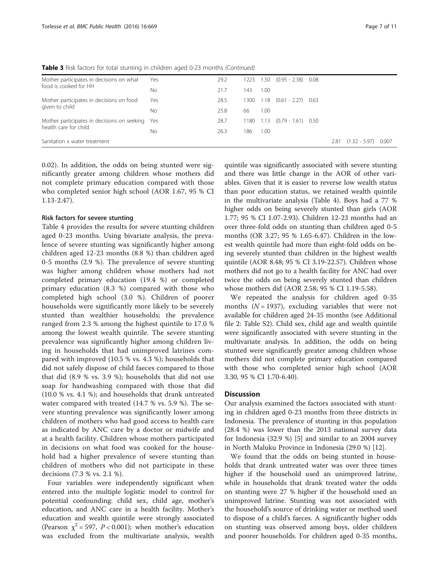Table 3 Risk factors for total stunting in children aged 0-23 months (Continued)

| Mother participates in decisions on what        | Yes | 29.2 | 1223 |      | $1.50$ $(0.95 - 2.38)$ 0.08  |      |                       |  |
|-------------------------------------------------|-----|------|------|------|------------------------------|------|-----------------------|--|
| food is cooked for HH                           | No. | 21.7 | 143  | 1.00 |                              |      |                       |  |
| Mother participates in decisions on food        | Yes | 28.5 | 1300 |      | $1.18$ $(0.61 - 2.27)$ 0.63  |      |                       |  |
| given to child                                  | No. | 25.8 | 66   | 1.00 |                              |      |                       |  |
| Mother participates in decisions on seeking Yes |     | 28.7 |      |      | 1180 1.13 (0.79 - 1.61) 0.50 |      |                       |  |
| health care for child                           | No. | 26.3 | 186  | 1.00 |                              |      |                       |  |
| Sanitation x water treatment                    |     |      |      |      |                              | 2.81 | $(1.32 - 5.97)$ 0.007 |  |

0.02). In addition, the odds on being stunted were significantly greater among children whose mothers did not complete primary education compared with those who completed senior high school (AOR 1.67, 95 % CI 1.13-2.47).

### Risk factors for severe stunting

Table [4](#page-7-0) provides the results for severe stunting children aged 0-23 months. Using bivariate analysis, the prevalence of severe stunting was significantly higher among children aged 12-23 months (8.8 %) than children aged 0-5 months (2.9 %). The prevalence of severe stunting was higher among children whose mothers had not completed primary education (19.4 %) or completed primary education (8.3 %) compared with those who completed high school (3.0 %). Children of poorer households were significantly more likely to be severely stunted than wealthier households; the prevalence ranged from 2.3 % among the highest quintile to 17.0 % among the lowest wealth quintile. The severe stunting prevalence was significantly higher among children living in households that had unimproved latrines compared with improved (10.5 % vs. 4.3 %); households that did not safely dispose of child faeces compared to those that did (8.9 % vs. 3.9 %); households that did not use soap for handwashing compared with those that did (10.0 % vs. 4.1 %); and households that drank untreated water compared with treated (14.7 % vs. 5.9 %). The severe stunting prevalence was significantly lower among children of mothers who had good access to health care as indicated by ANC care by a doctor or midwife and at a health facility. Children whose mothers participated in decisions on what food was cooked for the household had a higher prevalence of severe stunting than children of mothers who did not participate in these decisions (7.3 % vs. 2.1 %).

Four variables were independently significant when entered into the multiple logistic model to control for potential confounding: child sex, child age, mother's education, and ANC care in a health facility. Mother's education and wealth quintile were strongly associated (Pearson  $\chi^2$  = 597, *P* < 0.001); when mother's education was excluded from the multivariate analysis, wealth

quintile was significantly associated with severe stunting and there was little change in the AOR of other variables. Given that it is easier to reverse low wealth status than poor education status, we retained wealth quintile in the multivariate analysis (Table [4](#page-7-0)). Boys had a 77 % higher odds on being severely stunted than girls (AOR 1.77; 95 % CI 1.07-2.93). Children 12-23 months had an over three-fold odds on stunting than children aged 0-5 months (OR 3.27; 95 % 1.65-6.47). Children in the lowest wealth quintile had more than eight-fold odds on being severely stunted than children in the highest wealth quintile (AOR 8.48; 95 % CI 3.19-22.57). Children whose mothers did not go to a health facility for ANC had over twice the odds on being severely stunted than children whose mothers did (AOR 2.58; 95 % CI 1.19-5.58).

We repeated the analysis for children aged 0-35 months  $(N = 1937)$ , excluding variables that were not available for children aged 24-35 months (see Additional file [2](#page-9-0): Table S2). Child sex, child age and wealth quintile were significantly associated with severe stunting in the multivariate analysis. In addition, the odds on being stunted were significantly greater among children whose mothers did not complete primary education compared with those who completed senior high school (AOR 3.30, 95 % CI 1.70-6.40).

### **Discussion**

Our analysis examined the factors associated with stunting in children aged 0-23 months from three districts in Indonesia. The prevalence of stunting in this population (28.4 %) was lower than the 2013 national survey data for Indonesia (32.9 %) [[5\]](#page-10-0) and similar to an 2004 survey in North Maluku Province in Indonesia (29.0 %) [[12\]](#page-10-0).

We found that the odds on being stunted in households that drank untreated water was over three times higher if the household used an unimproved latrine, while in households that drank treated water the odds on stunting were 27 % higher if the household used an unimproved latrine. Stunting was not associated with the household's source of drinking water or method used to dispose of a child's faeces. A significantly higher odds on stunting was observed among boys, older children and poorer households. For children aged 0-35 months,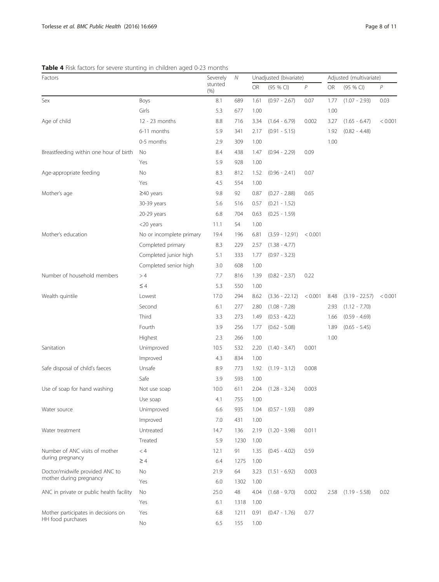### <span id="page-7-0"></span>Table 4 Risk factors for severe stunting in children aged 0-23 months

| Factors                                  |                          | Severely<br>Ν   |      |      | Unadjusted (bivariate) |         | Adjusted (multivariate) |                        |         |
|------------------------------------------|--------------------------|-----------------|------|------|------------------------|---------|-------------------------|------------------------|---------|
|                                          |                          | stunted<br>(% ) |      | OR   | (95 % CI)              | P       | <b>OR</b>               | (95 % CI)              | $\,P$   |
| Sex                                      | Boys                     | 8.1             | 689  | 1.61 | $(0.97 - 2.67)$        | 0.07    | 1.77                    | $(1.07 - 2.93)$        | 0.03    |
|                                          | Girls                    | 5.3             | 677  | 1.00 |                        |         | 1.00                    |                        |         |
| Age of child                             | 12 - 23 months           | 8.8             | 716  | 3.34 | $(1.64 - 6.79)$        | 0.002   | 3.27                    | $(1.65 - 6.47)$        | < 0.001 |
|                                          | 6-11 months              | 5.9             | 341  | 2.17 | $(0.91 - 5.15)$        |         | 1.92                    | $(0.82 - 4.48)$        |         |
|                                          | 0-5 months               | 2.9             | 309  | 1.00 |                        |         | 1.00                    |                        |         |
| Breastfeeding within one hour of birth   | No                       | 8.4             | 438  | 1.47 | $(0.94 - 2.29)$        | 0.09    |                         |                        |         |
|                                          | Yes                      | 5.9             | 928  | 1.00 |                        |         |                         |                        |         |
| Age-appropriate feeding                  | No                       | 8.3             | 812  | 1.52 | $(0.96 - 2.41)$        | 0.07    |                         |                        |         |
|                                          | Yes                      | 4.5             | 554  | 1.00 |                        |         |                         |                        |         |
| Mother's age                             | $\geq$ 40 years          | 9.8             | 92   | 0.87 | $(0.27 - 2.88)$        | 0.65    |                         |                        |         |
|                                          | 30-39 years              | 5.6             | 516  | 0.57 | $(0.21 - 1.52)$        |         |                         |                        |         |
|                                          | 20-29 years              | 6.8             | 704  | 0.63 | $(0.25 - 1.59)$        |         |                         |                        |         |
|                                          | <20 years                | 11.1            | 54   | 1.00 |                        |         |                         |                        |         |
| Mother's education                       | No or incomplete primary | 19.4            | 196  | 6.81 | $(3.59 - 12.91)$       | < 0.001 |                         |                        |         |
|                                          | Completed primary        | 8.3             | 229  | 2.57 | $(1.38 - 4.77)$        |         |                         |                        |         |
|                                          | Completed junior high    | 5.1             | 333  | 1.77 | $(0.97 - 3.23)$        |         |                         |                        |         |
|                                          | Completed senior high    | 3.0             | 608  | 1.00 |                        |         |                         |                        |         |
| Number of household members              | >4                       | 7.7             | 816  | 1.39 | $(0.82 - 2.37)$        | 0.22    |                         |                        |         |
|                                          | $\leq 4$                 | 5.3             | 550  | 1.00 |                        |         |                         |                        |         |
| Wealth quintile                          | Lowest                   | 17.0            | 294  | 8.62 | $(3.36 - 22.12)$       | < 0.001 | 8.48                    | $(3.19 - 22.57)$       | < 0.001 |
|                                          | Second                   | 6.1             | 277  | 2.80 | $(1.08 - 7.28)$        |         | 2.93                    | $(1.12 - 7.70)$        |         |
|                                          | Third                    | 3.3             | 273  | 1.49 | $(0.53 - 4.22)$        |         | 1.66                    | $(0.59 - 4.69)$        |         |
|                                          | Fourth                   | 3.9             | 256  | 1.77 | $(0.62 - 5.08)$        |         | 1.89                    | $(0.65 - 5.45)$        |         |
|                                          | Highest                  | 2.3             | 266  | 1.00 |                        |         | 1.00                    |                        |         |
| Sanitation                               | Unimproved               | 10.5            | 532  | 2.20 | $(1.40 - 3.47)$        | 0.001   |                         |                        |         |
|                                          | Improved                 | 4.3             | 834  | 1.00 |                        |         |                         |                        |         |
| Safe disposal of child's faeces          | Unsafe                   | 8.9             | 773  | 1.92 | $(1.19 - 3.12)$        | 0.008   |                         |                        |         |
|                                          | Safe                     | 3.9             | 593  | 1.00 |                        |         |                         |                        |         |
| Use of soap for hand washing             | Not use soap             | 10.0            | 611  | 2.04 | $(1.28 - 3.24)$        | 0.003   |                         |                        |         |
|                                          | Use soap                 | 4.1             | 755  | 1.00 |                        |         |                         |                        |         |
| Water source                             | Unimproved               | 6.6             | 935  | 1.04 | $(0.57 - 1.93)$        | 0.89    |                         |                        |         |
|                                          | Improved                 | 7.0             | 431  | 1.00 |                        |         |                         |                        |         |
| Water treatment                          | Untreated                | 14.7            | 136  | 2.19 | $(1.20 - 3.98)$        | 0.011   |                         |                        |         |
|                                          | Treated                  | 5.9             | 1230 | 1.00 |                        |         |                         |                        |         |
| Number of ANC visits of mother           | < 4                      | 12.1            | 91   | 1.35 | $(0.45 - 4.02)$        | 0.59    |                         |                        |         |
| during pregnancy                         | $\geq 4$                 | 6.4             | 1275 | 1.00 |                        |         |                         |                        |         |
| Doctor/midwife provided ANC to           | No                       | 21.9            | 64   | 3.23 | $(1.51 - 6.92)$        | 0.003   |                         |                        |         |
| mother during pregnancy                  | Yes                      | 6.0             | 1302 | 1.00 |                        |         |                         |                        |         |
| ANC in private or public health facility | No                       | 25.0            | 48   | 4.04 | $(1.68 - 9.70)$        | 0.002   |                         | $2.58$ $(1.19 - 5.58)$ | 0.02    |
|                                          | Yes                      | 6.1             | 1318 | 1.00 |                        |         |                         |                        |         |
| Mother participates in decisions on      | Yes                      | 6.8             | 1211 | 0.91 | $(0.47 - 1.76)$        | 0.77    |                         |                        |         |
| HH food purchases                        | No                       | 6.5             | 155  | 1.00 |                        |         |                         |                        |         |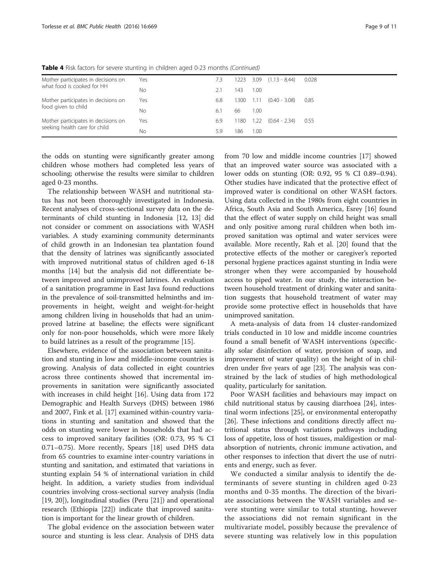| Mother participates in decisions on | Yes | 7.3 |      |      | $1223$ $3.09$ $(1.13 - 8.44)$ | 0.028 |
|-------------------------------------|-----|-----|------|------|-------------------------------|-------|
| what food is cooked for HH          | Νo  |     | 143  | 1.00 |                               |       |
| Mother participates in decisions on | Yes | 6.8 | 1300 | 1.11 | $(0.40 - 3.08)$               | 0.85  |
| food given to child                 | Νo  | 6.1 | 66   | 1.00 |                               |       |
| Mother participates in decisions on | Yes | 6.9 |      |      | $1180$ $1.22$ $(0.64 - 2.34)$ | 0.55  |
| seeking health care for child       | Nο  | 5.9 | 186  | 1.00 |                               |       |
|                                     |     |     |      |      |                               |       |

Table 4 Risk factors for severe stunting in children aged 0-23 months (Continued)

the odds on stunting were significantly greater among children whose mothers had completed less years of schooling; otherwise the results were similar to children aged 0-23 months.

The relationship between WASH and nutritional status has not been thoroughly investigated in Indonesia. Recent analyses of cross-sectional survey data on the determinants of child stunting in Indonesia [[12, 13](#page-10-0)] did not consider or comment on associations with WASH variables. A study examining community determinants of child growth in an Indonesian tea plantation found that the density of latrines was significantly associated with improved nutritional status of children aged 6-18 months [[14\]](#page-10-0) but the analysis did not differentiate between improved and unimproved latrines. An evaluation of a sanitation programme in East Java found reductions in the prevalence of soil-transmitted helminths and improvements in height, weight and weight-for-height among children living in households that had an unimproved latrine at baseline; the effects were significant only for non-poor households, which were more likely to build latrines as a result of the programme [\[15](#page-10-0)].

Elsewhere, evidence of the association between sanitation and stunting in low and middle-income countries is growing. Analysis of data collected in eight countries across three continents showed that incremental improvements in sanitation were significantly associated with increases in child height [[16\]](#page-10-0). Using data from 172 Demographic and Health Surveys (DHS) between 1986 and 2007, Fink et al. [[17](#page-10-0)] examined within-country variations in stunting and sanitation and showed that the odds on stunting were lower in households that had access to improved sanitary facilities (OR: 0.73, 95 % CI 0.71–0.75). More recently, Spears [\[18](#page-10-0)] used DHS data from 65 countries to examine inter-country variations in stunting and sanitation, and estimated that variations in stunting explain 54 % of international variation in child height. In addition, a variety studies from individual countries involving cross-sectional survey analysis (India [[19, 20\]](#page-10-0)), longitudinal studies (Peru [\[21](#page-10-0)]) and operational research (Ethiopia [[22](#page-10-0)]) indicate that improved sanitation is important for the linear growth of children.

The global evidence on the association between water source and stunting is less clear. Analysis of DHS data from 70 low and middle income countries [[17\]](#page-10-0) showed that an improved water source was associated with a lower odds on stunting (OR: 0.92, 95 % CI 0.89–0.94). Other studies have indicated that the protective effect of improved water is conditional on other WASH factors. Using data collected in the 1980s from eight countries in Africa, South Asia and South America, Esrey [\[16](#page-10-0)] found that the effect of water supply on child height was small and only positive among rural children when both improved sanitation was optimal and water services were available. More recently, Rah et al. [[20\]](#page-10-0) found that the protective effects of the mother or caregiver's reported personal hygiene practices against stunting in India were stronger when they were accompanied by household access to piped water. In our study, the interaction between household treatment of drinking water and sanitation suggests that household treatment of water may provide some protective effect in households that have unimproved sanitation.

A meta-analysis of data from 14 cluster-randomized trials conducted in 10 low and middle income countries found a small benefit of WASH interventions (specifically solar disinfection of water, provision of soap, and improvement of water quality) on the height of in children under five years of age [\[23](#page-10-0)]. The analysis was constrained by the lack of studies of high methodological quality, particularly for sanitation.

Poor WASH facilities and behaviours may impact on child nutritional status by causing diarrhoea [[24](#page-10-0)], intestinal worm infections [\[25\]](#page-10-0), or environmental enteropathy [[26\]](#page-10-0). These infections and conditions directly affect nutritional status through variations pathways including loss of appetite, loss of host tissues, maldigestion or malabsorption of nutrients, chronic immune activation, and other responses to infection that divert the use of nutrients and energy, such as fever.

We conducted a similar analysis to identify the determinants of severe stunting in children aged 0-23 months and 0-35 months. The direction of the bivariate associations between the WASH variables and severe stunting were similar to total stunting, however the associations did not remain significant in the multivariate model, possibly because the prevalence of severe stunting was relatively low in this population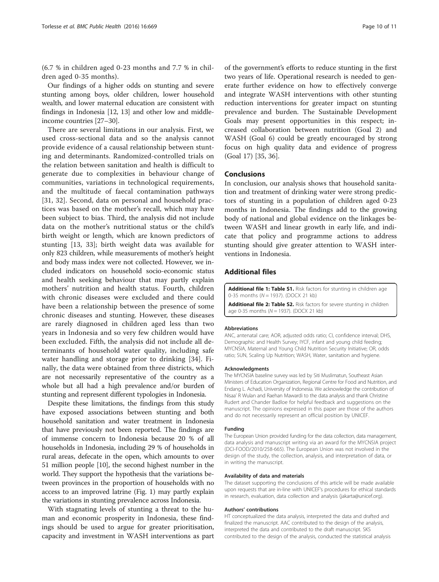<span id="page-9-0"></span>(6.7 % in children aged 0-23 months and 7.7 % in children aged 0-35 months).

Our findings of a higher odds on stunting and severe stunting among boys, older children, lower household wealth, and lower maternal education are consistent with findings in Indonesia [[12](#page-10-0), [13\]](#page-10-0) and other low and middleincome countries [[27](#page-10-0)–[30\]](#page-10-0).

There are several limitations in our analysis. First, we used cross-sectional data and so the analysis cannot provide evidence of a causal relationship between stunting and determinants. Randomized-controlled trials on the relation between sanitation and health is difficult to generate due to complexities in behaviour change of communities, variations in technological requirements, and the multitude of faecal contamination pathways [[31, 32\]](#page-10-0). Second, data on personal and household practices was based on the mother's recall, which may have been subject to bias. Third, the analysis did not include data on the mother's nutritional status or the child's birth weight or length, which are known predictors of stunting [\[13](#page-10-0), [33\]](#page-10-0); birth weight data was available for only 823 children, while measurements of mother's height and body mass index were not collected. However, we included indicators on household socio-economic status and health seeking behaviour that may partly explain mothers' nutrition and health status. Fourth, children with chronic diseases were excluded and there could have been a relationship between the presence of some chronic diseases and stunting. However, these diseases are rarely diagnosed in children aged less than two years in Indonesia and so very few children would have been excluded. Fifth, the analysis did not include all determinants of household water quality, including safe water handling and storage prior to drinking [\[34](#page-10-0)]. Finally, the data were obtained from three districts, which are not necessarily representative of the country as a whole but all had a high prevalence and/or burden of stunting and represent different typologies in Indonesia.

Despite these limitations, the findings from this study have exposed associations between stunting and both household sanitation and water treatment in Indonesia that have previously not been reported. The findings are of immense concern to Indonesia because 20 % of all households in Indonesia, including 29 % of households in rural areas, defecate in the open, which amounts to over 51 million people [\[10\]](#page-10-0), the second highest number in the world. They support the hypothesis that the variations between provinces in the proportion of households with no access to an improved latrine (Fig. [1\)](#page-1-0) may partly explain the variations in stunting prevalence across Indonesia.

With stagnating levels of stunting a threat to the human and economic prosperity in Indonesia, these findings should be used to argue for greater prioritisation, capacity and investment in WASH interventions as part of the government's efforts to reduce stunting in the first two years of life. Operational research is needed to generate further evidence on how to effectively converge and integrate WASH interventions with other stunting reduction interventions for greater impact on stunting prevalence and burden. The Sustainable Development Goals may present opportunities in this respect; increased collaboration between nutrition (Goal 2) and WASH (Goal 6) could be greatly encouraged by strong focus on high quality data and evidence of progress (Goal 17) [\[35](#page-10-0), [36\]](#page-10-0).

### Conclusions

In conclusion, our analysis shows that household sanitation and treatment of drinking water were strong predictors of stunting in a population of children aged 0-23 months in Indonesia. The findings add to the growing body of national and global evidence on the linkages between WASH and linear growth in early life, and indicate that policy and programme actions to address stunting should give greater attention to WASH interventions in Indonesia.

### Additional files

[Additional file 1: Table S1.](dx.doi.org/10.1186/s12889-016-3339-8) Risk factors for stunting in children age 0-35 months ( $N = 1937$ ). (DOCX 21 kb)

[Additional file 2: Table S2.](dx.doi.org/10.1186/s12889-016-3339-8) Risk factors for severe stunting in children age 0-35 months ( $N = 1937$ ). (DOCX 21 kb)

#### **Abbreviations**

ANC, antenatal care; AOR, adjusted odds ratio; CI, confidence interval; DHS, Demographic and Health Survey; IYCF, infant and young child feeding; MYCNSIA, Maternal and Young Child Nutrition Security Initiative; OR, odds ratio; SUN, Scaling Up Nutrition; WASH, Water, sanitation and hygiene.

#### Acknowledgments

The MYCNSIA baseline survey was led by Siti Muslimatun, Southeast Asian Ministers of Education Organization, Regional Centre for Food and Nutrition, and Endang L. Achadi, University of Indonesia. We acknowledge the contribution of Nisaa' R Wulan and Raehan Mawardi to the data analysis and thank Christine Rudert and Chander Badloe for helpful feedback and suggestions on the manuscript. The opinions expressed in this paper are those of the authors and do not necessarily represent an official position by UNICEF.

#### Funding

The European Union provided funding for the data collection, data management, data analysis and manuscript writing via an award for the MYCNSIA project (DCI-FOOD/2010/258-665). The European Union was not involved in the design of the study, the collection, analysis, and interpretation of data, or in writing the manuscript.

#### Availability of data and materials

The dataset supporting the conclusions of this article will be made available upon requests that are in-line with UNICEF's procedures for ethical standards in research, evaluation, data collection and analysis (jakarta@unicef.org).

#### Authors' contributions

HT conceptualized the data analysis, interpreted the data and drafted and finalized the manuscript. AAC contributed to the design of the analysis, interpreted the data and contributed to the draft manuscript. SKS contributed to the design of the analysis, conducted the statistical analysis